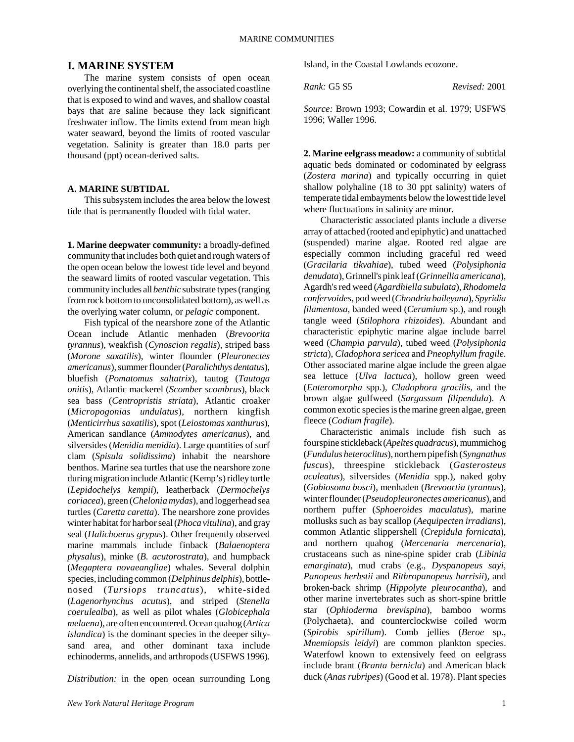## **I. MARINE SYSTEM**

The marine system consists of open ocean overlying the continental shelf, the associated coastline that is exposed to wind and waves, and shallow coastal bays that are saline because they lack significant freshwater inflow. The limits extend from mean high water seaward, beyond the limits of rooted vascular vegetation. Salinity is greater than 18.0 parts per thousand (ppt) ocean-derived salts.

## **A. MARINE SUBTIDAL**

This subsystem includes the area below the lowest tide that is permanently flooded with tidal water.

**1. Marine deepwater community:** a broadly-defined community that includes both quiet and rough waters of the open ocean below the lowest tide level and beyond the seaward limits of rooted vascular vegetation. This community includes all *benthic* substrate types (ranging from rock bottom to unconsolidated bottom), as well as the overlying water column, or *pelagic* component.

Fish typical of the nearshore zone of the Atlantic Ocean include Atlantic menhaden (*Brevoorita tyrannus*), weakfish (*Cynoscion regalis*), striped bass (*Morone saxatilis*), winter flounder (*Pleuronectes americanus*), summer flounder (*Paralichthys dentatus*), bluefish (*Pomatomus saltatrix*), tautog (*Tautoga onitis*), Atlantic mackerel (*Scomber scombrus*), black sea bass (*Centropristis striata*), Atlantic croaker (*Micropogonias undulatus*), northern kingfish (*Menticirrhus saxatilis*), spot (*Leiostomas xanthurus*), American sandlance (*Ammodytes americanus*), and silversides (*Menidia menidia*). Large quantities of surf clam (*Spisula solidissima*) inhabit the nearshore benthos. Marine sea turtles that use the nearshore zone during migration include Atlantic (Kemp's) ridley turtle (*Lepidochelys kempii*), leatherback (*Dermochelys coriacea*), green (*Chelonia mydas*), and loggerhead sea turtles (*Caretta caretta*). The nearshore zone provides winter habitat for harbor seal (*Phoca vitulina*), and gray seal (*Halichoerus grypus*). Other frequently observed marine mammals include finback (*Balaenoptera physalus*), minke (*B. acutorostrata*), and humpback (*Megaptera novaeangliae*) whales. Several dolphin species, including common (*Delphinus delphis*), bottlenosed (*Tursiops truncatus*), white-sided (*Lagenorhynchus acutus*), and striped (*Stenella coerulealba*), as well as pilot whales (*Globicephala melaena*), are often encountered. Ocean quahog (*Artica islandica*) is the dominant species in the deeper siltysand area, and other dominant taxa include echinoderms, annelids, and arthropods (USFWS 1996).

*Distribution:* in the open ocean surrounding Long

Island, in the Coastal Lowlands ecozone.

*Rank:* G5 S5 *Revised:* 2001

*Source:* Brown 1993; Cowardin et al. 1979; USFWS 1996; Waller 1996.

**2. Marine eelgrass meadow:** a community of subtidal aquatic beds dominated or codominated by eelgrass (*Zostera marina*) and typically occurring in quiet shallow polyhaline (18 to 30 ppt salinity) waters of temperate tidal embayments below the lowest tide level where fluctuations in salinity are minor.

Characteristic associated plants include a diverse array of attached (rooted and epiphytic) and unattached (suspended) marine algae. Rooted red algae are especially common including graceful red weed (*Gracilaria tikvahiae*), tubed weed (*Polysiphonia denudata*), Grinnell's pink leaf (*Grinnellia americana*), Agardh's red weed (*Agardhiella subulata*), *Rhodomela confervoides,* pod weed (*Chondria baileyana*), *Spyridia filamentosa,* banded weed (*Ceramium* sp.), and rough tangle weed (*Stilophora rhizoides*). Abundant and characteristic epiphytic marine algae include barrel weed (*Champia parvula*), tubed weed (*Polysiphonia stricta*), *Cladophora sericea* and *Pneophyllum fragile*. Other associated marine algae include the green algae sea lettuce (*Ulva lactuca*), hollow green weed (*Enteromorpha* spp.), *Cladophora gracilis,* and the brown algae gulfweed (*Sargassum filipendula*). A common exotic species is the marine green algae, green fleece (*Codium fragile*).

Characteristic animals include fish such as fourspine stickleback (*Apeltes quadracus*), mummichog (*Fundulus heteroclitus*), northern pipefish (*Syngnathus fuscus*), threespine stickleback (*Gasterosteus aculeatus*), silversides (*Menidia* spp.), naked goby (*Gobiosoma bosci*), menhaden (*Brevoortia tyrannus*), winter flounder (*Pseudopleuronectes americanus*), and northern puffer (*Sphoeroides maculatus*), marine mollusks such as bay scallop (*Aequipecten irradians*), common Atlantic slippershell (*Crepidula fornicata*), and northern quahog (*Mercenaria mercenaria*), crustaceans such as nine-spine spider crab (*Libinia emarginata*), mud crabs (e.g., *Dyspanopeus sayi, Panopeus herbstii* and *Rithropanopeus harrisii*), and broken-back shrimp (*Hippolyte pleurocantha*), and other marine invertebrates such as short-spine brittle star (*Ophioderma brevispina*), bamboo worms (Polychaeta), and counterclockwise coiled worm (*Spirobis spirillum*). Comb jellies (*Beroe* sp., *Mnemiopsis leidyi*) are common plankton species. Waterfowl known to extensively feed on eelgrass include brant (*Branta bernicla*) and American black duck (*Anas rubripes*) (Good et al. 1978). Plant species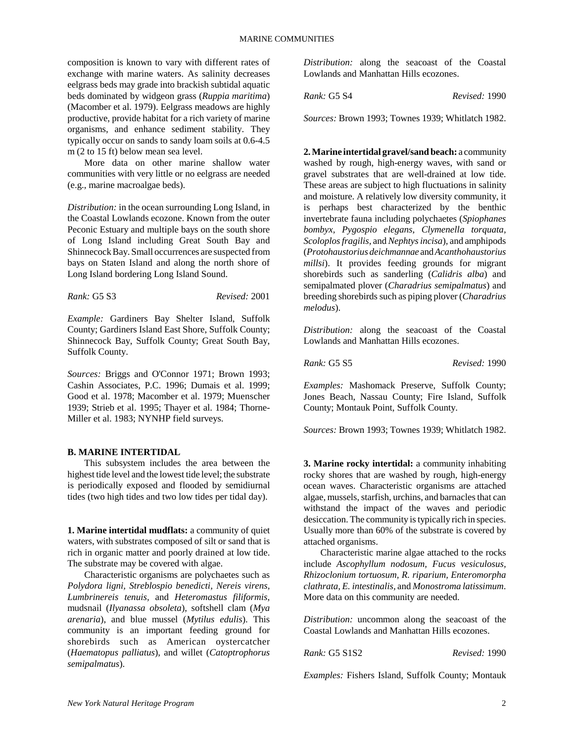composition is known to vary with different rates of exchange with marine waters. As salinity decreases eelgrass beds may grade into brackish subtidal aquatic beds dominated by widgeon grass (*Ruppia maritima*) (Macomber et al. 1979). Eelgrass meadows are highly productive, provide habitat for a rich variety of marine organisms, and enhance sediment stability. They typically occur on sands to sandy loam soils at 0.6-4.5 m (2 to 15 ft) below mean sea level.

More data on other marine shallow water communities with very little or no eelgrass are needed (e.g., marine macroalgae beds).

*Distribution:* in the ocean surrounding Long Island, in the Coastal Lowlands ecozone. Known from the outer Peconic Estuary and multiple bays on the south shore of Long Island including Great South Bay and Shinnecock Bay. Small occurrences are suspected from bays on Staten Island and along the north shore of Long Island bordering Long Island Sound.

*Rank:* G5 S3 *Revised:* 2001

*Example:* Gardiners Bay Shelter Island, Suffolk County; Gardiners Island East Shore, Suffolk County; Shinnecock Bay, Suffolk County; Great South Bay, Suffolk County.

*Sources:* Briggs and O'Connor 1971; Brown 1993; Cashin Associates, P.C. 1996; Dumais et al. 1999; Good et al. 1978; Macomber et al. 1979; Muenscher 1939; Strieb et al. 1995; Thayer et al. 1984; Thorne-Miller et al. 1983; NYNHP field surveys.

#### **B. MARINE INTERTIDAL**

This subsystem includes the area between the highest tide level and the lowest tide level; the substrate is periodically exposed and flooded by semidiurnal tides (two high tides and two low tides per tidal day).

**1. Marine intertidal mudflats:** a community of quiet waters, with substrates composed of silt or sand that is rich in organic matter and poorly drained at low tide. The substrate may be covered with algae.

Characteristic organisms are polychaetes such as *Polydora ligni, Streblospio benedicti, Nereis virens, Lumbrinereis tenuis,* and *Heteromastus filiformis*, mudsnail (*Ilyanassa obsoleta*), softshell clam (*Mya arenaria*), and blue mussel (*Mytilus edulis*). This community is an important feeding ground for shorebirds such as American oystercatcher (*Haematopus palliatus*), and willet (*Catoptrophorus semipalmatus*).

*Distribution:* along the seacoast of the Coastal Lowlands and Manhattan Hills ecozones.

*Rank:* G5 S4 *Revised:* 1990

*Sources:* Brown 1993; Townes 1939; Whitlatch 1982.

**2. Marine intertidal gravel/sand beach:** a community washed by rough, high-energy waves, with sand or gravel substrates that are well-drained at low tide. These areas are subject to high fluctuations in salinity and moisture. A relatively low diversity community, it is perhaps best characterized by the benthic invertebrate fauna including polychaetes (*Spiophanes bombyx, Pygospio elegans, Clymenella torquata, Scoloplos fragilis,* and *Nephtys incisa*), and amphipods (*Protohaustorius deichmannae* and *Acanthohaustorius millsi*). It provides feeding grounds for migrant shorebirds such as sanderling (*Calidris alba*) and semipalmated plover (*Charadrius semipalmatus*) and breeding shorebirds such as piping plover (*Charadrius melodus*).

*Distribution:* along the seacoast of the Coastal Lowlands and Manhattan Hills ecozones.

*Rank:* G5 S5 *Revised:* 1990

*Examples:* Mashomack Preserve, Suffolk County; Jones Beach, Nassau County; Fire Island, Suffolk County; Montauk Point, Suffolk County.

*Sources:* Brown 1993; Townes 1939; Whitlatch 1982.

**3. Marine rocky intertidal:** a community inhabiting rocky shores that are washed by rough, high-energy ocean waves. Characteristic organisms are attached algae, mussels, starfish, urchins, and barnacles that can withstand the impact of the waves and periodic desiccation. The community is typically rich in species. Usually more than 60% of the substrate is covered by attached organisms.

Characteristic marine algae attached to the rocks include *Ascophyllum nodosum, Fucus vesiculosus, Rhizoclonium tortuosum, R. riparium, Enteromorpha clathrata, E. intestinalis,* and *Monostroma latissimum*. More data on this community are needed.

*Distribution:* uncommon along the seacoast of the Coastal Lowlands and Manhattan Hills ecozones.

*Rank:* G5 S1S2 *Revised:* 1990

*Examples:* Fishers Island, Suffolk County; Montauk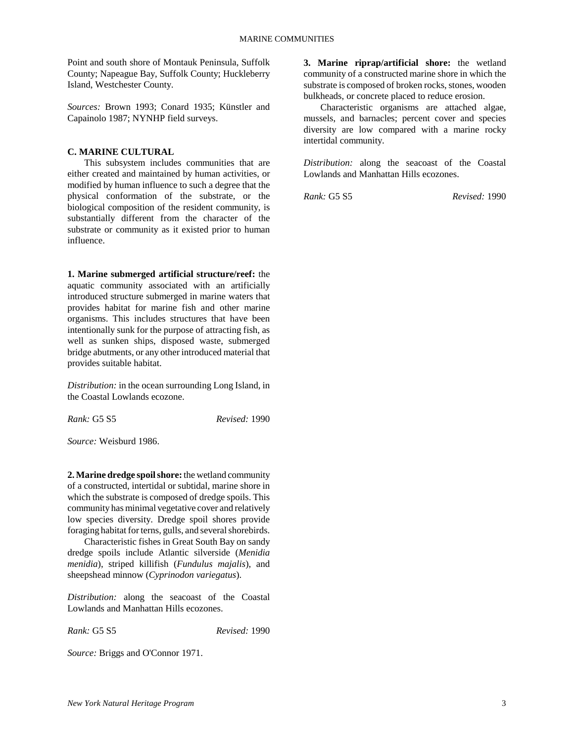Point and south shore of Montauk Peninsula, Suffolk County; Napeague Bay, Suffolk County; Huckleberry Island, Westchester County.

*Sources:* Brown 1993; Conard 1935; Künstler and Capainolo 1987; NYNHP field surveys.

## **C. MARINE CULTURAL**

This subsystem includes communities that are either created and maintained by human activities, or modified by human influence to such a degree that the physical conformation of the substrate, or the biological composition of the resident community, is substantially different from the character of the substrate or community as it existed prior to human influence.

**1. Marine submerged artificial structure/reef:** the aquatic community associated with an artificially introduced structure submerged in marine waters that provides habitat for marine fish and other marine organisms. This includes structures that have been intentionally sunk for the purpose of attracting fish, as well as sunken ships, disposed waste, submerged bridge abutments, or any other introduced material that provides suitable habitat.

*Distribution:* in the ocean surrounding Long Island, in the Coastal Lowlands ecozone.

*Rank:* G5 S5 *Revised:* 1990

*Source:* Weisburd 1986.

**2. Marine dredge spoil shore:** the wetland community of a constructed, intertidal or subtidal, marine shore in which the substrate is composed of dredge spoils. This community has minimal vegetative cover and relatively low species diversity. Dredge spoil shores provide foraging habitat for terns, gulls, and several shorebirds.

Characteristic fishes in Great South Bay on sandy dredge spoils include Atlantic silverside (*Menidia menidia*), striped killifish (*Fundulus majalis*), and sheepshead minnow (*Cyprinodon variegatus*).

*Distribution:* along the seacoast of the Coastal Lowlands and Manhattan Hills ecozones.

*Rank:* G5 S5 *Revised:* 1990

*Source:* Briggs and O'Connor 1971.

**3. Marine riprap/artificial shore:** the wetland community of a constructed marine shore in which the substrate is composed of broken rocks, stones, wooden bulkheads, or concrete placed to reduce erosion.

Characteristic organisms are attached algae, mussels, and barnacles; percent cover and species diversity are low compared with a marine rocky intertidal community.

*Distribution:* along the seacoast of the Coastal Lowlands and Manhattan Hills ecozones.

*Rank:* G5 S5 *Revised:* 1990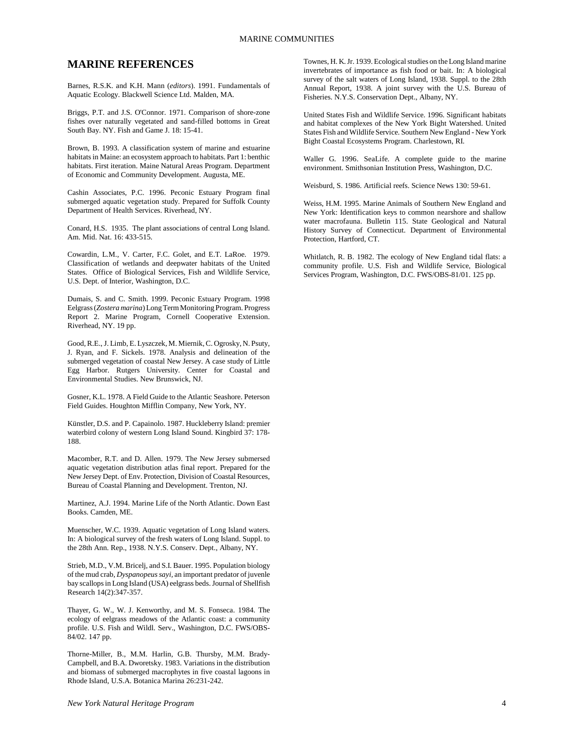# **MARINE REFERENCES**

Barnes, R.S.K. and K.H. Mann (*editors*). 1991. Fundamentals of Aquatic Ecology. Blackwell Science Ltd. Malden, MA.

Briggs, P.T. and J.S. O'Connor. 1971. Comparison of shore-zone fishes over naturally vegetated and sand-filled bottoms in Great South Bay. NY. Fish and Game J. 18: 15-41.

Brown, B. 1993. A classification system of marine and estuarine habitats in Maine: an ecosystem approach to habitats. Part 1: benthic habitats. First iteration. Maine Natural Areas Program. Department of Economic and Community Development. Augusta, ME.

Cashin Associates, P.C. 1996. Peconic Estuary Program final submerged aquatic vegetation study. Prepared for Suffolk County Department of Health Services. Riverhead, NY.

Conard, H.S. 1935. The plant associations of central Long Island. Am. Mid. Nat. 16: 433-515.

Cowardin, L.M., V. Carter, F.C. Golet, and E.T. LaRoe. 1979. Classification of wetlands and deepwater habitats of the United States. Office of Biological Services, Fish and Wildlife Service, U.S. Dept. of Interior, Washington, D.C.

Dumais, S. and C. Smith. 1999. Peconic Estuary Program. 1998 Eelgrass (*Zostera marina*) Long Term Monitoring Program. Progress Report 2. Marine Program, Cornell Cooperative Extension. Riverhead, NY. 19 pp.

Good, R.E., J. Limb, E. Lyszczek, M. Miernik, C. Ogrosky, N. Psuty, J. Ryan, and F. Sickels. 1978. Analysis and delineation of the submerged vegetation of coastal New Jersey. A case study of Little Egg Harbor. Rutgers University. Center for Coastal and Environmental Studies. New Brunswick, NJ.

Gosner, K.L. 1978. A Field Guide to the Atlantic Seashore. Peterson Field Guides. Houghton Mifflin Company, New York, NY.

Künstler, D.S. and P. Capainolo. 1987. Huckleberry Island: premier waterbird colony of western Long Island Sound. Kingbird 37: 178- 188.

Macomber, R.T. and D. Allen. 1979. The New Jersey submersed aquatic vegetation distribution atlas final report. Prepared for the New Jersey Dept. of Env. Protection, Division of Coastal Resources, Bureau of Coastal Planning and Development. Trenton, NJ.

Martinez, A.J. 1994. Marine Life of the North Atlantic. Down East Books. Camden, ME.

Muenscher, W.C. 1939. Aquatic vegetation of Long Island waters. In: A biological survey of the fresh waters of Long Island. Suppl. to the 28th Ann. Rep., 1938. N.Y.S. Conserv. Dept., Albany, NY.

Strieb, M.D., V.M. Bricelj, and S.I. Bauer. 1995. Population biology of the mud crab, *Dyspanopeus sayi,* an important predator of juvenle bay scallops in Long Island (USA) eelgrass beds. Journal of Shellfish Research 14(2):347-357.

Thayer, G. W., W. J. Kenworthy, and M. S. Fonseca. 1984. The ecology of eelgrass meadows of the Atlantic coast: a community profile. U.S. Fish and Wildl. Serv., Washington, D.C. FWS/OBS-84/02. 147 pp.

Thorne-Miller, B., M.M. Harlin, G.B. Thursby, M.M. Brady-Campbell, and B.A. Dworetsky. 1983. Variations in the distribution and biomass of submerged macrophytes in five coastal lagoons in Rhode Island, U.S.A. Botanica Marina 26:231-242.

Townes, H. K. Jr. 1939. Ecological studies on the Long Island marine invertebrates of importance as fish food or bait. In: A biological survey of the salt waters of Long Island, 1938. Suppl. to the 28th Annual Report, 1938. A joint survey with the U.S. Bureau of Fisheries. N.Y.S. Conservation Dept., Albany, NY.

United States Fish and Wildlife Service. 1996. Significant habitats and habitat complexes of the New York Bight Watershed. United States Fish and Wildlife Service. Southern New England - New York Bight Coastal Ecosystems Program. Charlestown, RI.

Waller G. 1996. SeaLife. A complete guide to the marine environment. Smithsonian Institution Press, Washington, D.C.

Weisburd, S. 1986. Artificial reefs. Science News 130: 59-61.

Weiss, H.M. 1995. Marine Animals of Southern New England and New York: Identification keys to common nearshore and shallow water macrofauna. Bulletin 115. State Geological and Natural History Survey of Connecticut. Department of Environmental Protection, Hartford, CT.

Whitlatch, R. B. 1982. The ecology of New England tidal flats: a community profile. U.S. Fish and Wildlife Service, Biological Services Program, Washington, D.C. FWS/OBS-81/01. 125 pp.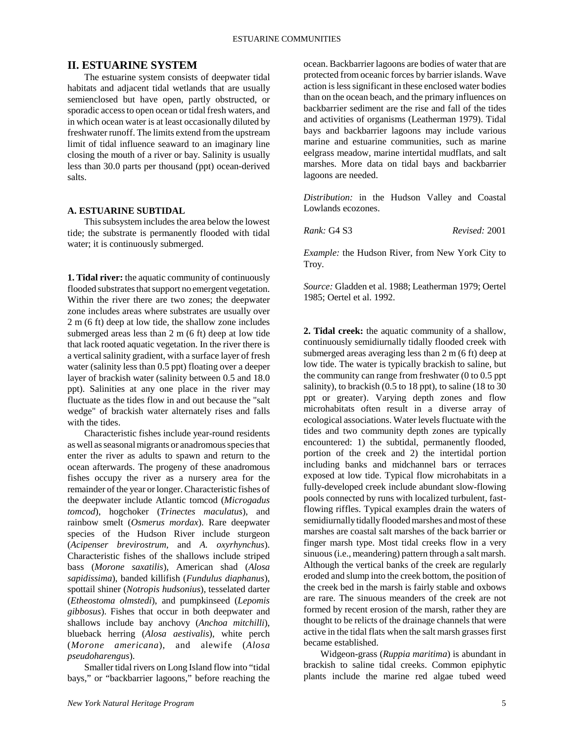# **II. ESTUARINE SYSTEM**

The estuarine system consists of deepwater tidal habitats and adjacent tidal wetlands that are usually semienclosed but have open, partly obstructed, or sporadic access to open ocean or tidal fresh waters, and in which ocean water is at least occasionally diluted by freshwater runoff. The limits extend from the upstream limit of tidal influence seaward to an imaginary line closing the mouth of a river or bay. Salinity is usually less than 30.0 parts per thousand (ppt) ocean-derived salts.

# **A. ESTUARINE SUBTIDAL**

This subsystem includes the area below the lowest tide; the substrate is permanently flooded with tidal water; it is continuously submerged.

**1. Tidal river:** the aquatic community of continuously flooded substrates that support no emergent vegetation. Within the river there are two zones; the deepwater zone includes areas where substrates are usually over 2 m (6 ft) deep at low tide, the shallow zone includes submerged areas less than 2 m (6 ft) deep at low tide that lack rooted aquatic vegetation. In the river there is a vertical salinity gradient, with a surface layer of fresh water (salinity less than 0.5 ppt) floating over a deeper layer of brackish water (salinity between 0.5 and 18.0 ppt). Salinities at any one place in the river may fluctuate as the tides flow in and out because the "salt wedge" of brackish water alternately rises and falls with the tides.

Characteristic fishes include year-round residents as well as seasonal migrants or anadromous species that enter the river as adults to spawn and return to the ocean afterwards. The progeny of these anadromous fishes occupy the river as a nursery area for the remainder of the year or longer. Characteristic fishes of the deepwater include Atlantic tomcod (*Microgadus tomcod*), hogchoker (*Trinectes maculatus*), and rainbow smelt (*Osmerus mordax*). Rare deepwater species of the Hudson River include sturgeon (*Acipenser brevirostrum,* and *A. oxyrhynchus*). Characteristic fishes of the shallows include striped bass (*Morone saxatilis*), American shad (*Alosa sapidissima*), banded killifish (*Fundulus diaphanus*), spottail shiner (*Notropis hudsonius*), tesselated darter (*Etheostoma olmstedi*), and pumpkinseed (*Lepomis gibbosus*). Fishes that occur in both deepwater and shallows include bay anchovy (*Anchoa mitchilli*), blueback herring (*Alosa aestivalis*), white perch (*Morone americana*), and alewife (*Alosa pseudoharengus*).

Smaller tidal rivers on Long Island flow into "tidal bays," or "backbarrier lagoons," before reaching the ocean. Backbarrier lagoons are bodies of water that are protected from oceanic forces by barrier islands. Wave action is less significant in these enclosed water bodies than on the ocean beach, and the primary influences on backbarrier sediment are the rise and fall of the tides and activities of organisms (Leatherman 1979). Tidal bays and backbarrier lagoons may include various marine and estuarine communities, such as marine eelgrass meadow, marine intertidal mudflats, and salt marshes. More data on tidal bays and backbarrier lagoons are needed.

*Distribution:* in the Hudson Valley and Coastal Lowlands ecozones.

*Rank:* G4 S3 *Revised:* 2001

*Example:* the Hudson River, from New York City to Troy.

*Source:* Gladden et al. 1988; Leatherman 1979; Oertel 1985; Oertel et al. 1992.

**2. Tidal creek:** the aquatic community of a shallow, continuously semidiurnally tidally flooded creek with submerged areas averaging less than 2 m (6 ft) deep at low tide. The water is typically brackish to saline, but the community can range from freshwater (0 to 0.5 ppt salinity), to brackish (0.5 to 18 ppt), to saline (18 to 30 ppt or greater). Varying depth zones and flow microhabitats often result in a diverse array of ecological associations. Water levels fluctuate with the tides and two community depth zones are typically encountered: 1) the subtidal, permanently flooded, portion of the creek and 2) the intertidal portion including banks and midchannel bars or terraces exposed at low tide. Typical flow microhabitats in a fully-developed creek include abundant slow-flowing pools connected by runs with localized turbulent, fastflowing riffles. Typical examples drain the waters of semidiurnally tidally flooded marshes and most of these marshes are coastal salt marshes of the back barrier or finger marsh type. Most tidal creeks flow in a very sinuous (i.e., meandering) pattern through a salt marsh. Although the vertical banks of the creek are regularly eroded and slump into the creek bottom, the position of the creek bed in the marsh is fairly stable and oxbows are rare. The sinuous meanders of the creek are not formed by recent erosion of the marsh, rather they are thought to be relicts of the drainage channels that were active in the tidal flats when the salt marsh grasses first became established.

Widgeon-grass (*Ruppia maritima*) is abundant in brackish to saline tidal creeks. Common epiphytic plants include the marine red algae tubed weed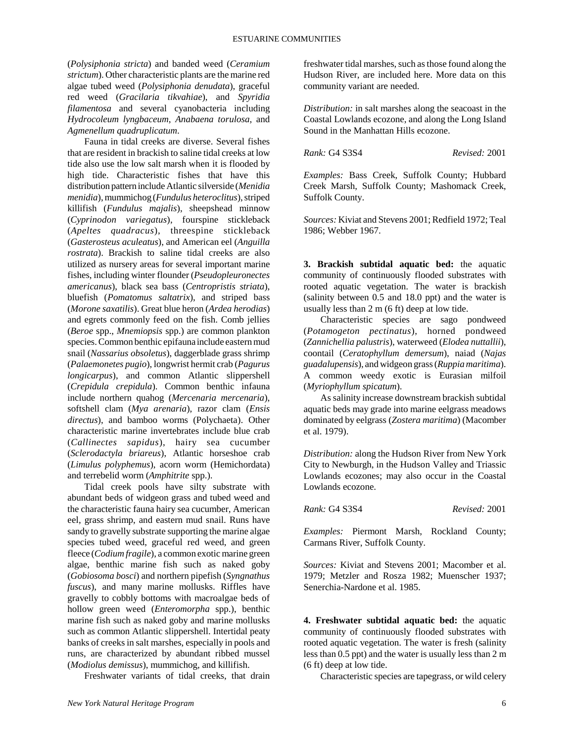(*Polysiphonia stricta*) and banded weed (*Ceramium strictum*). Other characteristic plants are the marine red algae tubed weed (*Polysiphonia denudata*), graceful red weed (*Gracilaria tikvahiae*), and *Spyridia filamentosa* and several cyanobacteria including *Hydrocoleum lyngbaceum*, *Anabaena torulosa*, and *Agmenellum quadruplicatum*.

Fauna in tidal creeks are diverse. Several fishes that are resident in brackish to saline tidal creeks at low tide also use the low salt marsh when it is flooded by high tide. Characteristic fishes that have this distribution pattern include Atlantic silverside (*Menidia menidia*), mummichog (*Fundulus heteroclitus*), striped killifish (*Fundulus majalis*), sheepshead minnow (*Cyprinodon variegatus*), fourspine stickleback (*Apeltes quadracus*), threespine stickleback (*Gasterosteus aculeatus*), and American eel (*Anguilla rostrata*). Brackish to saline tidal creeks are also utilized as nursery areas for several important marine fishes, including winter flounder (*Pseudopleuronectes americanus*), black sea bass (*Centropristis striata*), bluefish (*Pomatomus saltatrix*), and striped bass (*Morone saxatilis*). Great blue heron (*Ardea herodias*) and egrets commonly feed on the fish. Comb jellies (*Beroe* spp., *Mnemiopsis* spp.) are common plankton species. Common benthic epifauna include eastern mud snail (*Nassarius obsoletus*), daggerblade grass shrimp (*Palaemonetes pugio*), longwrist hermit crab (*Pagurus longicarpus*), and common Atlantic slippershell (*Crepidula crepidula*). Common benthic infauna include northern quahog (*Mercenaria mercenaria*), softshell clam (*Mya arenaria*), razor clam (*Ensis directus*), and bamboo worms (Polychaeta). Other characteristic marine invertebrates include blue crab (*Callinectes sapidus*), hairy sea cucumber (*Sclerodactyla briareus*), Atlantic horseshoe crab (*Limulus polyphemus*), acorn worm (Hemichordata) and terrebelid worm (*Amphitrite* spp.).

Tidal creek pools have silty substrate with abundant beds of widgeon grass and tubed weed and the characteristic fauna hairy sea cucumber, American eel, grass shrimp, and eastern mud snail. Runs have sandy to gravelly substrate supporting the marine algae species tubed weed, graceful red weed, and green fleece (*Codium fragile*), a common exotic marine green algae, benthic marine fish such as naked goby (*Gobiosoma bosci*) and northern pipefish (*Syngnathus fuscus*), and many marine mollusks. Riffles have gravelly to cobbly bottoms with macroalgae beds of hollow green weed (*Enteromorpha* spp.), benthic marine fish such as naked goby and marine mollusks such as common Atlantic slippershell. Intertidal peaty banks of creeks in salt marshes, especially in pools and runs, are characterized by abundant ribbed mussel (*Modiolus demissus*), mummichog, and killifish.

Freshwater variants of tidal creeks, that drain

freshwater tidal marshes, such as those found along the Hudson River, are included here. More data on this community variant are needed.

*Distribution:* in salt marshes along the seacoast in the Coastal Lowlands ecozone, and along the Long Island Sound in the Manhattan Hills ecozone.

*Rank:* G4 S3S4 *Revised:* 2001

*Examples:* Bass Creek, Suffolk County; Hubbard Creek Marsh, Suffolk County; Mashomack Creek, Suffolk County.

*Sources:* Kiviat and Stevens 2001; Redfield 1972; Teal 1986; Webber 1967.

**3. Brackish subtidal aquatic bed:** the aquatic community of continuously flooded substrates with rooted aquatic vegetation. The water is brackish (salinity between 0.5 and 18.0 ppt) and the water is usually less than 2 m (6 ft) deep at low tide.

Characteristic species are sago pondweed (*Potamogeton pectinatus*), horned pondweed (*Zannichellia palustris*), waterweed (*Elodea nuttallii*), coontail (*Ceratophyllum demersum*), naiad (*Najas guadalupensis*), and widgeon grass (*Ruppia maritima*). A common weedy exotic is Eurasian milfoil (*Myriophyllum spicatum*).

As salinity increase downstream brackish subtidal aquatic beds may grade into marine eelgrass meadows dominated by eelgrass (*Zostera maritima*) (Macomber et al. 1979).

*Distribution:* along the Hudson River from New York City to Newburgh, in the Hudson Valley and Triassic Lowlands ecozones; may also occur in the Coastal Lowlands ecozone.

*Rank:* G4 S3S4 *Revised:* 2001

*Examples:* Piermont Marsh, Rockland County; Carmans River, Suffolk County.

*Sources:* Kiviat and Stevens 2001; Macomber et al. 1979; Metzler and Rosza 1982; Muenscher 1937; Senerchia-Nardone et al. 1985.

**4. Freshwater subtidal aquatic bed:** the aquatic community of continuously flooded substrates with rooted aquatic vegetation. The water is fresh (salinity less than 0.5 ppt) and the water is usually less than 2 m (6 ft) deep at low tide.

Characteristic species are tapegrass, or wild celery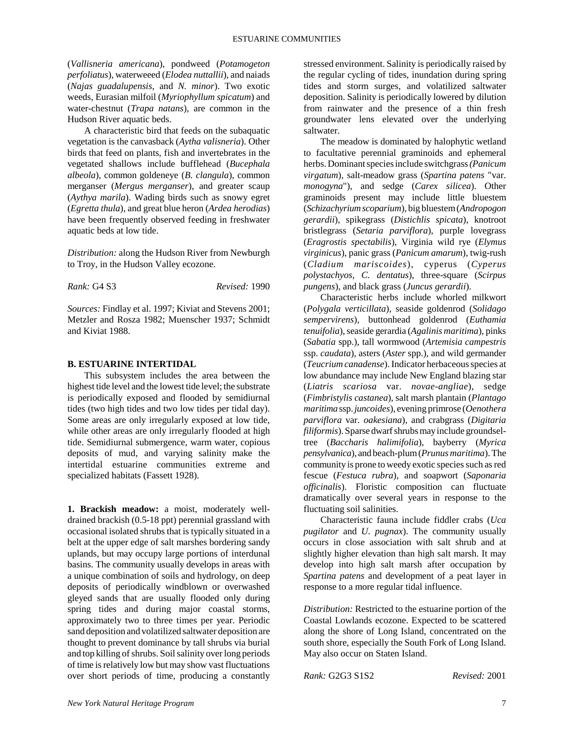(*Vallisneria americana*), pondweed (*Potamogeton perfoliatus*), waterweeed (*Elodea nuttallii*), and naiads (*Najas guadalupensis*, and *N. minor*). Two exotic weeds, Eurasian milfoil (*Myriophyllum spicatum*) and water-chestnut (*Trapa natans*), are common in the Hudson River aquatic beds.

A characteristic bird that feeds on the subaquatic vegetation is the canvasback (*Aytha valisneria*). Other birds that feed on plants, fish and invertebrates in the vegetated shallows include bufflehead (*Bucephala albeola*), common goldeneye (*B. clangula*), common merganser (*Mergus merganser*), and greater scaup (*Aythya marila*). Wading birds such as snowy egret (*Egretta thula*), and great blue heron (*Ardea herodias*) have been frequently observed feeding in freshwater aquatic beds at low tide.

*Distribution:* along the Hudson River from Newburgh to Troy, in the Hudson Valley ecozone.

*Rank:* G4 S3 *Revised:* 1990

*Sources:* Findlay et al. 1997; Kiviat and Stevens 2001; Metzler and Rosza 1982; Muenscher 1937; Schmidt and Kiviat 1988.

## **B. ESTUARINE INTERTIDAL**

This subsystem includes the area between the highest tide level and the lowest tide level; the substrate is periodically exposed and flooded by semidiurnal tides (two high tides and two low tides per tidal day). Some areas are only irregularly exposed at low tide, while other areas are only irregularly flooded at high tide. Semidiurnal submergence, warm water, copious deposits of mud, and varying salinity make the intertidal estuarine communities extreme and specialized habitats (Fassett 1928).

**1. Brackish meadow:** a moist, moderately welldrained brackish (0.5-18 ppt) perennial grassland with occasional isolated shrubs that is typically situated in a belt at the upper edge of salt marshes bordering sandy uplands, but may occupy large portions of interdunal basins. The community usually develops in areas with a unique combination of soils and hydrology, on deep deposits of periodically windblown or overwashed gleyed sands that are usually flooded only during spring tides and during major coastal storms, approximately two to three times per year. Periodic sand deposition and volatilized saltwater deposition are thought to prevent dominance by tall shrubs via burial and top killing of shrubs. Soil salinity over long periods of time is relatively low but may show vast fluctuations over short periods of time, producing a constantly

stressed environment. Salinity is periodically raised by the regular cycling of tides, inundation during spring tides and storm surges, and volatilized saltwater deposition. Salinity is periodically lowered by dilution from rainwater and the presence of a thin fresh groundwater lens elevated over the underlying saltwater.

The meadow is dominated by halophytic wetland to facultative perennial graminoids and ephemeral herbs. Dominant species include switchgrass *(Panicum virgatum*), salt-meadow grass (*Spartina patens* "var. *monogyna*"), and sedge (*Carex silicea*). Other graminoids present may include little bluestem (*Schizachyrium scoparium*), big bluestem (*Andropogon gerardii*), spikegrass (*Distichlis spicata*), knotroot bristlegrass (*Setaria parviflora*), purple lovegrass (*Eragrostis spectabilis*), Virginia wild rye (*Elymus virginicus*), panic grass (*Panicum amarum*), twig-rush (*Cladium mariscoides*), cyperus (*Cyperus polystachyos, C. dentatus*), three-square (*Scirpus pungens*), and black grass (*Juncus gerardii*).

Characteristic herbs include whorled milkwort (*Polygala verticillata*), seaside goldenrod (*Solidago sempervirens*), buttonhead goldenrod (*Euthamia tenuifolia*), seaside gerardia (*Agalinis maritima*), pinks (*Sabatia* spp.), tall wormwood (*Artemisia campestris* ssp. *caudata*), asters (*Aster* spp.), and wild germander (*Teucrium canadense*). Indicator herbaceous species at low abundance may include New England blazing star (*Liatris scariosa* var. *novae-angliae*), sedge (*Fimbristylis castanea*), salt marsh plantain (*Plantago maritima* ssp. *juncoides*), evening primrose (*Oenothera parviflora* var. *oakesiana*), and crabgrass (*Digitaria filiformis*). Sparse dwarf shrubs may include groundseltree (*Baccharis halimifolia*), bayberry (*Myrica pensylvanica*), and beach-plum (*Prunus maritima*). The community is prone to weedy exotic species such as red fescue (*Festuca rubra*), and soapwort (*Saponaria officinalis*). Floristic composition can fluctuate dramatically over several years in response to the fluctuating soil salinities.

Characteristic fauna include fiddler crabs (*Uca pugilator* and *U. pugnax*). The community usually occurs in close association with salt shrub and at slightly higher elevation than high salt marsh. It may develop into high salt marsh after occupation by *Spartina patens* and development of a peat layer in response to a more regular tidal influence.

*Distribution:* Restricted to the estuarine portion of the Coastal Lowlands ecozone. Expected to be scattered along the shore of Long Island, concentrated on the south shore, especially the South Fork of Long Island. May also occur on Staten Island.

*Rank:* G2G3 S1S2 *Revised:* 2001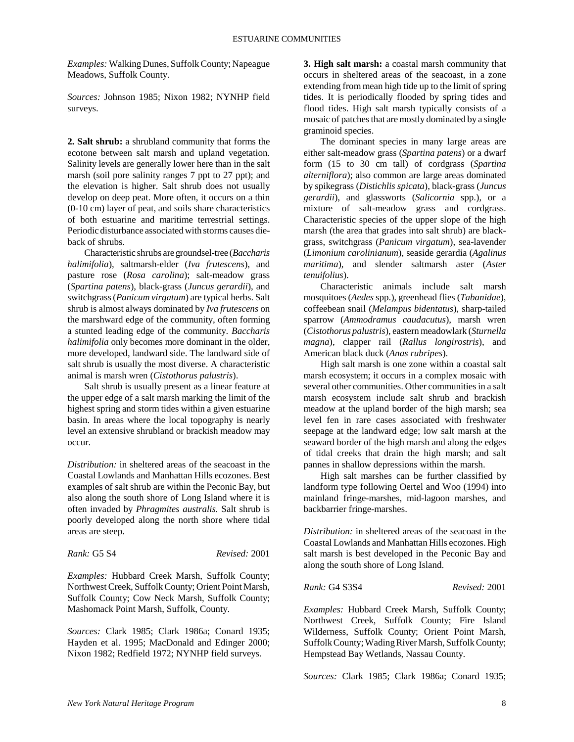*Examples:* Walking Dunes, Suffolk County; Napeague Meadows, Suffolk County.

*Sources:* Johnson 1985; Nixon 1982; NYNHP field surveys.

**2. Salt shrub:** a shrubland community that forms the ecotone between salt marsh and upland vegetation. Salinity levels are generally lower here than in the salt marsh (soil pore salinity ranges 7 ppt to 27 ppt); and the elevation is higher. Salt shrub does not usually develop on deep peat. More often, it occurs on a thin (0-10 cm) layer of peat, and soils share characteristics of both estuarine and maritime terrestrial settings. Periodic disturbance associated with storms causes dieback of shrubs.

Characteristic shrubs are groundsel-tree (*Baccharis halimifolia*), saltmarsh-elder (*Iva frutescens*), and pasture rose (*Rosa carolina*); salt-meadow grass (*Spartina patens*), black-grass (*Juncus gerardii*), and switchgrass (*Panicum virgatum*) are typical herbs. Salt shrub is almost always dominated by *Iva frutescens* on the marshward edge of the community, often forming a stunted leading edge of the community. *Baccharis halimifolia* only becomes more dominant in the older, more developed, landward side. The landward side of salt shrub is usually the most diverse. A characteristic animal is marsh wren (*Cistothorus palustris*).

Salt shrub is usually present as a linear feature at the upper edge of a salt marsh marking the limit of the highest spring and storm tides within a given estuarine basin. In areas where the local topography is nearly level an extensive shrubland or brackish meadow may occur.

*Distribution:* in sheltered areas of the seacoast in the Coastal Lowlands and Manhattan Hills ecozones. Best examples of salt shrub are within the Peconic Bay, but also along the south shore of Long Island where it is often invaded by *Phragmites australis.* Salt shrub is poorly developed along the north shore where tidal areas are steep.

*Rank:* G5 S4 *Revised:* 2001

*Examples:* Hubbard Creek Marsh, Suffolk County; Northwest Creek, Suffolk County; Orient Point Marsh, Suffolk County; Cow Neck Marsh, Suffolk County; Mashomack Point Marsh, Suffolk, County.

*Sources:* Clark 1985; Clark 1986a; Conard 1935; Hayden et al. 1995; MacDonald and Edinger 2000; Nixon 1982; Redfield 1972; NYNHP field surveys.

**3. High salt marsh:** a coastal marsh community that occurs in sheltered areas of the seacoast, in a zone extending from mean high tide up to the limit of spring tides. It is periodically flooded by spring tides and flood tides. High salt marsh typically consists of a mosaic of patches that are mostly dominated by a single graminoid species.

The dominant species in many large areas are either salt-meadow grass (*Spartina patens*) or a dwarf form (15 to 30 cm tall) of cordgrass (*Spartina alterniflora*); also common are large areas dominated by spikegrass (*Distichlis spicata*), black-grass (*Juncus gerardii*), and glassworts (*Salicornia* spp.), or a mixture of salt-meadow grass and cordgrass. Characteristic species of the upper slope of the high marsh (the area that grades into salt shrub) are blackgrass, switchgrass (*Panicum virgatum*), sea-lavender (*Limonium carolinianum*), seaside gerardia (*Agalinus maritima*), and slender saltmarsh aster (*Aster tenuifolius*).

Characteristic animals include salt marsh mosquitoes (*Aedes* spp.), greenhead flies (*Tabanidae*), coffeebean snail (*Melampus bidentatus*), sharp-tailed sparrow (*Ammodramus caudacutus*), marsh wren (*Cistothorus palustris*), eastern meadowlark (*Sturnella magna*), clapper rail (*Rallus longirostris*), and American black duck (*Anas rubripes*).

High salt marsh is one zone within a coastal salt marsh ecosystem; it occurs in a complex mosaic with several other communities. Other communities in a salt marsh ecosystem include salt shrub and brackish meadow at the upland border of the high marsh; sea level fen in rare cases associated with freshwater seepage at the landward edge; low salt marsh at the seaward border of the high marsh and along the edges of tidal creeks that drain the high marsh; and salt pannes in shallow depressions within the marsh.

High salt marshes can be further classified by landform type following Oertel and Woo (1994) into mainland fringe-marshes, mid-lagoon marshes, and backbarrier fringe-marshes.

*Distribution:* in sheltered areas of the seacoast in the Coastal Lowlands and Manhattan Hills ecozones. High salt marsh is best developed in the Peconic Bay and along the south shore of Long Island.

*Rank:* G4 S3S4 *Revised:* 2001

*Examples:* Hubbard Creek Marsh, Suffolk County; Northwest Creek, Suffolk County; Fire Island Wilderness, Suffolk County; Orient Point Marsh, Suffolk County; Wading River Marsh, Suffolk County; Hempstead Bay Wetlands, Nassau County.

*Sources:* Clark 1985; Clark 1986a; Conard 1935;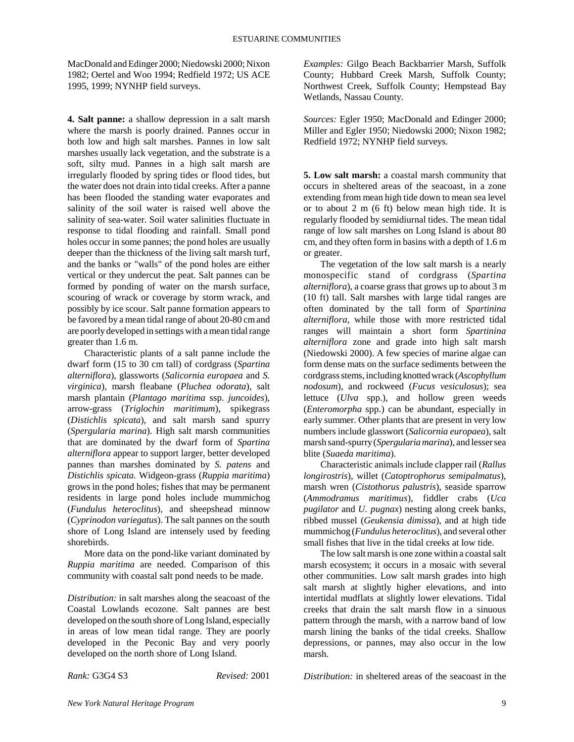MacDonald and Edinger 2000; Niedowski 2000; Nixon 1982; Oertel and Woo 1994; Redfield 1972; US ACE 1995, 1999; NYNHP field surveys.

**4. Salt panne:** a shallow depression in a salt marsh where the marsh is poorly drained. Pannes occur in both low and high salt marshes. Pannes in low salt marshes usually lack vegetation, and the substrate is a soft, silty mud. Pannes in a high salt marsh are irregularly flooded by spring tides or flood tides, but the water does not drain into tidal creeks. After a panne has been flooded the standing water evaporates and salinity of the soil water is raised well above the salinity of sea-water. Soil water salinities fluctuate in response to tidal flooding and rainfall. Small pond holes occur in some pannes; the pond holes are usually deeper than the thickness of the living salt marsh turf, and the banks or "walls" of the pond holes are either vertical or they undercut the peat. Salt pannes can be formed by ponding of water on the marsh surface, scouring of wrack or coverage by storm wrack, and possibly by ice scour. Salt panne formation appears to be favored by a mean tidal range of about 20-80 cm and are poorly developed in settings with a mean tidal range greater than 1.6 m.

Characteristic plants of a salt panne include the dwarf form (15 to 30 cm tall) of cordgrass (*Spartina alterniflora*), glassworts (*Salicornia europaea* and *S. virginica*), marsh fleabane (*Pluchea odorata*), salt marsh plantain (*Plantago maritima* ssp. *juncoides*), arrow-grass (*Triglochin maritimum*), spikegrass (*Distichlis spicata*), and salt marsh sand spurry (*Spergularia marina*). High salt marsh communities that are dominated by the dwarf form of *Spartina alterniflora* appear to support larger, better developed pannes than marshes dominated by *S. patens* and *Distichlis spicata.* Widgeon-grass (*Ruppia maritima*) grows in the pond holes; fishes that may be permanent residents in large pond holes include mummichog (*Fundulus heteroclitus*), and sheepshead minnow (*Cyprinodon variegatus*). The salt pannes on the south shore of Long Island are intensely used by feeding shorebirds.

More data on the pond-like variant dominated by *Ruppia maritima* are needed. Comparison of this community with coastal salt pond needs to be made.

*Distribution:* in salt marshes along the seacoast of the Coastal Lowlands ecozone. Salt pannes are best developed on the south shore of Long Island, especially in areas of low mean tidal range. They are poorly developed in the Peconic Bay and very poorly developed on the north shore of Long Island.

*Rank:* G3G4 S3 *Revised:* 2001

*Examples:* Gilgo Beach Backbarrier Marsh, Suffolk County; Hubbard Creek Marsh, Suffolk County; Northwest Creek, Suffolk County; Hempstead Bay Wetlands, Nassau County.

*Sources:* Egler 1950; MacDonald and Edinger 2000; Miller and Egler 1950; Niedowski 2000; Nixon 1982; Redfield 1972; NYNHP field surveys.

**5. Low salt marsh:** a coastal marsh community that occurs in sheltered areas of the seacoast, in a zone extending from mean high tide down to mean sea level or to about 2 m (6 ft) below mean high tide. It is regularly flooded by semidiurnal tides. The mean tidal range of low salt marshes on Long Island is about 80 cm, and they often form in basins with a depth of 1.6 m or greater.

The vegetation of the low salt marsh is a nearly monospecific stand of cordgrass (*Spartina alterniflora*), a coarse grass that grows up to about 3 m (10 ft) tall. Salt marshes with large tidal ranges are often dominated by the tall form of *Spartinina alterniflora,* while those with more restricted tidal ranges will maintain a short form *Spartinina alterniflora* zone and grade into high salt marsh (Niedowski 2000). A few species of marine algae can form dense mats on the surface sediments between the cordgrass stems, including knotted wrack (*Ascophyllum nodosum*), and rockweed (*Fucus vesiculosus*); sea lettuce (*Ulva* spp.), and hollow green weeds (*Enteromorpha* spp.) can be abundant, especially in early summer. Other plants that are present in very low numbers include glasswort (*Salicornia europaea*), salt marsh sand-spurry (*Spergularia marina*), and lesser sea blite (*Suaeda maritima*).

Characteristic animals include clapper rail (*Rallus longirostris*), willet (*Catoptrophorus semipalmatus*), marsh wren (*Cistothorus palustris*), seaside sparrow (*Ammodramus maritimus*), fiddler crabs (*Uca pugilator* and *U. pugnax*) nesting along creek banks, ribbed mussel (*Geukensia dimissa*), and at high tide mummichog (*Fundulus heteroclitus*), and several other small fishes that live in the tidal creeks at low tide.

The low salt marsh is one zone within a coastal salt marsh ecosystem; it occurs in a mosaic with several other communities. Low salt marsh grades into high salt marsh at slightly higher elevations, and into intertidal mudflats at slightly lower elevations. Tidal creeks that drain the salt marsh flow in a sinuous pattern through the marsh, with a narrow band of low marsh lining the banks of the tidal creeks. Shallow depressions, or pannes, may also occur in the low marsh.

*Distribution:* in sheltered areas of the seacoast in the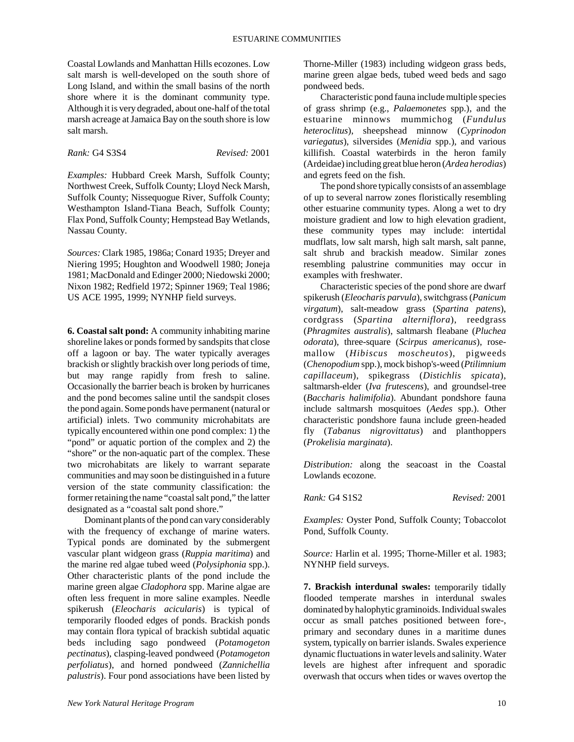Coastal Lowlands and Manhattan Hills ecozones. Low salt marsh is well-developed on the south shore of Long Island, and within the small basins of the north shore where it is the dominant community type. Although it is very degraded, about one-half of the total marsh acreage at Jamaica Bay on the south shore is low salt marsh.

*Rank:* G4 S3S4 *Revised:* 2001

*Examples:* Hubbard Creek Marsh, Suffolk County; Northwest Creek, Suffolk County; Lloyd Neck Marsh, Suffolk County; Nissequogue River, Suffolk County; Westhampton Island-Tiana Beach, Suffolk County; Flax Pond, Suffolk County; Hempstead Bay Wetlands, Nassau County.

*Sources:* Clark 1985, 1986a; Conard 1935; Dreyer and Niering 1995; Houghton and Woodwell 1980; Joneja 1981; MacDonald and Edinger 2000; Niedowski 2000; Nixon 1982; Redfield 1972; Spinner 1969; Teal 1986; US ACE 1995, 1999; NYNHP field surveys.

**6. Coastal salt pond:** A community inhabiting marine shoreline lakes or ponds formed by sandspits that close off a lagoon or bay. The water typically averages brackish or slightly brackish over long periods of time, but may range rapidly from fresh to saline. Occasionally the barrier beach is broken by hurricanes and the pond becomes saline until the sandspit closes the pond again. Some ponds have permanent (natural or artificial) inlets. Two community microhabitats are typically encountered within one pond complex: 1) the "pond" or aquatic portion of the complex and 2) the "shore" or the non-aquatic part of the complex. These two microhabitats are likely to warrant separate communities and may soon be distinguished in a future version of the state community classification: the former retaining the name "coastal salt pond," the latter designated as a "coastal salt pond shore."

Dominant plants of the pond can vary considerably with the frequency of exchange of marine waters. Typical ponds are dominated by the submergent vascular plant widgeon grass (*Ruppia maritima*) and the marine red algae tubed weed (*Polysiphonia* spp.). Other characteristic plants of the pond include the marine green algae *Cladophora* spp. Marine algae are often less frequent in more saline examples. Needle spikerush (*Eleocharis acicularis*) is typical of temporarily flooded edges of ponds. Brackish ponds may contain flora typical of brackish subtidal aquatic beds including sago pondweed (*Potamogeton pectinatus*), clasping-leaved pondweed (*Potamogeton perfoliatus*), and horned pondweed (*Zannichellia palustris*). Four pond associations have been listed by

Thorne-Miller (1983) including widgeon grass beds, marine green algae beds, tubed weed beds and sago pondweed beds.

Characteristic pond fauna include multiple species of grass shrimp (e.g., *Palaemonetes* spp.), and the estuarine minnows mummichog (*Fundulus heteroclitus*), sheepshead minnow (*Cyprinodon variegatus*), silversides (*Menidia* spp.), and various killifish. Coastal waterbirds in the heron family (Ardeidae) including great blue heron (*Ardea herodias*) and egrets feed on the fish.

The pond shore typically consists of an assemblage of up to several narrow zones floristically resembling other estuarine community types. Along a wet to dry moisture gradient and low to high elevation gradient, these community types may include: intertidal mudflats, low salt marsh, high salt marsh, salt panne, salt shrub and brackish meadow. Similar zones resembling palustrine communities may occur in examples with freshwater.

Characteristic species of the pond shore are dwarf spikerush (*Eleocharis parvula*), switchgrass (*Panicum virgatum*), salt-meadow grass (*Spartina patens*), cordgrass (*Spartina alterniflora*), reedgrass (*Phragmites australis*), saltmarsh fleabane (*Pluchea odorata*), three-square (*Scirpus americanus*), rosemallow (*Hibiscus moscheutos*), pigweeds (*Chenopodium* spp.), mock bishop's-weed (*Ptilimnium capillaceum*), spikegrass (*Distichlis spicata*), saltmarsh-elder (*Iva frutescens*), and groundsel-tree (*Baccharis halimifolia*). Abundant pondshore fauna include saltmarsh mosquitoes (*Aedes* spp.). Other characteristic pondshore fauna include green-headed fly (*Tabanus nigrovittatus*) and planthoppers (*Prokelisia marginata*).

*Distribution:* along the seacoast in the Coastal Lowlands ecozone.

*Rank:* G4 S1S2 *Revised:* 2001

*Examples:* Oyster Pond, Suffolk County; Tobaccolot Pond, Suffolk County.

*Source:* Harlin et al. 1995; Thorne-Miller et al. 1983; NYNHP field surveys.

**7. Brackish interdunal swales:** temporarily tidally flooded temperate marshes in interdunal swales dominated by halophytic graminoids. Individual swales occur as small patches positioned between fore-, primary and secondary dunes in a maritime dunes system, typically on barrier islands. Swales experience dynamic fluctuations in water levels and salinity. Water levels are highest after infrequent and sporadic overwash that occurs when tides or waves overtop the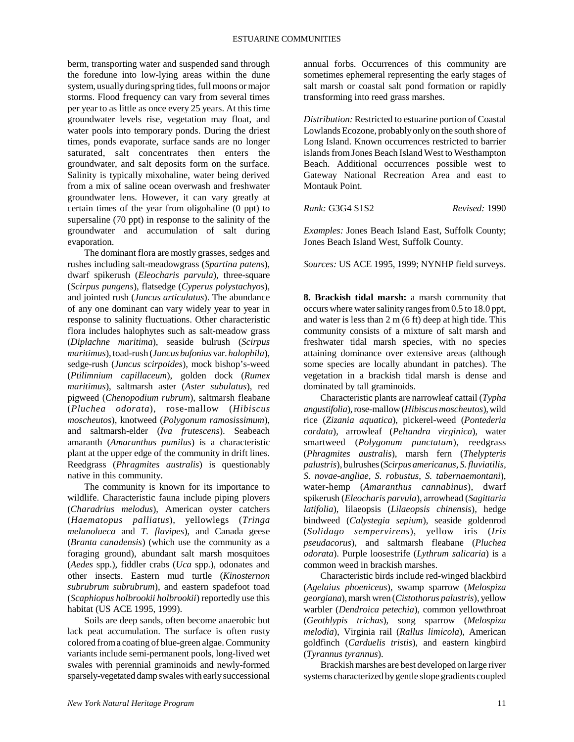#### ESTUARINE COMMUNITIES

berm, transporting water and suspended sand through the foredune into low-lying areas within the dune system, usually during spring tides, full moons or major storms. Flood frequency can vary from several times per year to as little as once every 25 years. At this time groundwater levels rise, vegetation may float, and water pools into temporary ponds. During the driest times, ponds evaporate, surface sands are no longer saturated, salt concentrates then enters the groundwater, and salt deposits form on the surface. Salinity is typically mixohaline, water being derived from a mix of saline ocean overwash and freshwater groundwater lens. However, it can vary greatly at certain times of the year from oligohaline (0 ppt) to supersaline (70 ppt) in response to the salinity of the groundwater and accumulation of salt during evaporation.

The dominant flora are mostly grasses, sedges and rushes including salt-meadowgrass (*Spartina patens*), dwarf spikerush (*Eleocharis parvula*), three-square (*Scirpus pungens*), flatsedge (*Cyperus polystachyos*), and jointed rush (*Juncus articulatus*). The abundance of any one dominant can vary widely year to year in response to salinity fluctuations. Other characteristic flora includes halophytes such as salt-meadow grass (*Diplachne maritima*), seaside bulrush (*Scirpus maritimus*), toad-rush (*Juncus bufonius* var. *halophila*), sedge-rush (*Juncus scirpoides*), mock bishop's-weed (*Ptilimnium capillaceum*), golden dock (*Rumex maritimus*), saltmarsh aster (*Aster subulatus*), red pigweed (*Chenopodium rubrum*), saltmarsh fleabane (*Pluchea odorata*), rose-mallow (*Hibiscus moscheutos*), knotweed (*Polygonum ramosissimum*), and saltmarsh-elder (*Iva frutescens*). Seabeach amaranth (*Amaranthus pumilus*) is a characteristic plant at the upper edge of the community in drift lines. Reedgrass (*Phragmites australis*) is questionably native in this community.

The community is known for its importance to wildlife. Characteristic fauna include piping plovers (*Charadrius melodus*), American oyster catchers (*Haematopus palliatus*), yellowlegs (*Tringa melanolueca* and *T. flavipes*), and Canada geese (*Branta canadensis*) (which use the community as a foraging ground), abundant salt marsh mosquitoes (*Aedes* spp.), fiddler crabs (*Uca* spp.), odonates and other insects. Eastern mud turtle (*Kinosternon subrubrum subrubrum*), and eastern spadefoot toad (*Scaphiopus holbrookii holbrookii*) reportedly use this habitat (US ACE 1995, 1999).

Soils are deep sands, often become anaerobic but lack peat accumulation. The surface is often rusty colored from a coating of blue-green algae. Community variants include semi-permanent pools, long-lived wet swales with perennial graminoids and newly-formed sparsely-vegetated damp swales with early successional

annual forbs. Occurrences of this community are sometimes ephemeral representing the early stages of salt marsh or coastal salt pond formation or rapidly transforming into reed grass marshes.

*Distribution:* Restricted to estuarine portion of Coastal Lowlands Ecozone, probably only on the south shore of Long Island. Known occurrences restricted to barrier islands from Jones Beach Island West to Westhampton Beach. Additional occurrences possible west to Gateway National Recreation Area and east to Montauk Point.

*Rank:* G3G4 S1S2 *Revised:* 1990

*Examples:* Jones Beach Island East, Suffolk County; Jones Beach Island West, Suffolk County.

*Sources:* US ACE 1995, 1999; NYNHP field surveys.

**8. Brackish tidal marsh:** a marsh community that occurs where water salinity ranges from 0.5 to 18.0 ppt, and water is less than 2 m (6 ft) deep at high tide. This community consists of a mixture of salt marsh and freshwater tidal marsh species, with no species attaining dominance over extensive areas (although some species are locally abundant in patches). The vegetation in a brackish tidal marsh is dense and dominated by tall graminoids.

Characteristic plants are narrowleaf cattail (*Typha angustifolia*), rose-mallow (*Hibiscus moscheutos*), wild rice (*Zizania aquatica*), pickerel-weed (*Pontederia cordata*), arrowleaf (*Peltandra virginica*), water smartweed (*Polygonum punctatum*), reedgrass (*Phragmites australis*), marsh fern (*Thelypteris palustris*), bulrushes (*Scirpus americanus, S. fluviatilis, S. novae-angliae, S. robustus*, *S. tabernaemontani*), water-hemp (*Amaranthus cannabinus*), dwarf spikerush (*Eleocharis parvula*), arrowhead (*Sagittaria latifolia*), lilaeopsis (*Lilaeopsis chinensis*), hedge bindweed (*Calystegia sepium*), seaside goldenrod (*Solidago sempervirens*), yellow iris (*Iris pseudacorus*), and saltmarsh fleabane (*Pluchea odorata*). Purple loosestrife (*Lythrum salicaria*) is a common weed in brackish marshes.

Characteristic birds include red-winged blackbird (*Agelaius phoeniceus*), swamp sparrow (*Melospiza georgiana*), marsh wren (*Cistothorus palustris*), yellow warbler (*Dendroica petechia*), common yellowthroat (*Geothlypis trichas*), song sparrow (*Melospiza melodia*), Virginia rail (*Rallus limicola*), American goldfinch (*Carduelis tristis*), and eastern kingbird (*Tyrannus tyrannus*).

Brackish marshes are best developed on large river systems characterized by gentle slope gradients coupled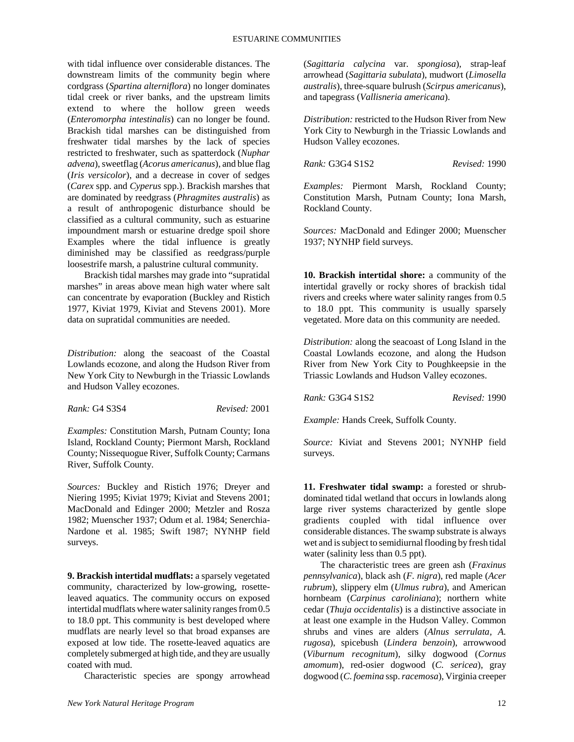#### ESTUARINE COMMUNITIES

with tidal influence over considerable distances. The downstream limits of the community begin where cordgrass (*Spartina alterniflora*) no longer dominates tidal creek or river banks, and the upstream limits extend to where the hollow green weeds (*Enteromorpha intestinalis*) can no longer be found. Brackish tidal marshes can be distinguished from freshwater tidal marshes by the lack of species restricted to freshwater, such as spatterdock (*Nuphar advena*), sweetflag (*Acorus americanus*), and blue flag (*Iris versicolor*), and a decrease in cover of sedges (*Carex* spp. and *Cyperus* spp.). Brackish marshes that are dominated by reedgrass (*Phragmites australis*) as a result of anthropogenic disturbance should be classified as a cultural community, such as estuarine impoundment marsh or estuarine dredge spoil shore Examples where the tidal influence is greatly diminished may be classified as reedgrass/purple loosestrife marsh, a palustrine cultural community.

Brackish tidal marshes may grade into "supratidal marshes" in areas above mean high water where salt can concentrate by evaporation (Buckley and Ristich 1977, Kiviat 1979, Kiviat and Stevens 2001). More data on supratidal communities are needed.

*Distribution:* along the seacoast of the Coastal Lowlands ecozone, and along the Hudson River from New York City to Newburgh in the Triassic Lowlands and Hudson Valley ecozones.

*Rank:* G4 S3S4 *Revised:* 2001

*Examples:* Constitution Marsh, Putnam County; Iona Island, Rockland County; Piermont Marsh, Rockland County; Nissequogue River, Suffolk County; Carmans River, Suffolk County.

*Sources:* Buckley and Ristich 1976; Dreyer and Niering 1995; Kiviat 1979; Kiviat and Stevens 2001; MacDonald and Edinger 2000; Metzler and Rosza 1982; Muenscher 1937; Odum et al. 1984; Senerchia-Nardone et al. 1985; Swift 1987; NYNHP field surveys.

**9. Brackish intertidal mudflats:** a sparsely vegetated community, characterized by low-growing, rosetteleaved aquatics. The community occurs on exposed intertidal mudflats where water salinity ranges from 0.5 to 18.0 ppt. This community is best developed where mudflats are nearly level so that broad expanses are exposed at low tide. The rosette-leaved aquatics are completely submerged at high tide, and they are usually coated with mud.

Characteristic species are spongy arrowhead

(*Sagittaria calycina* var. *spongiosa*), strap-leaf arrowhead (*Sagittaria subulata*), mudwort (*Limosella australis*), three-square bulrush (*Scirpus americanus*), and tapegrass (*Vallisneria americana*).

*Distribution:* restricted to the Hudson River from New York City to Newburgh in the Triassic Lowlands and Hudson Valley ecozones.

*Rank:* G3G4 S1S2 *Revised:* 1990

*Examples:* Piermont Marsh, Rockland County; Constitution Marsh, Putnam County; Iona Marsh, Rockland County.

*Sources:* MacDonald and Edinger 2000; Muenscher 1937; NYNHP field surveys.

**10. Brackish intertidal shore:** a community of the intertidal gravelly or rocky shores of brackish tidal rivers and creeks where water salinity ranges from 0.5 to 18.0 ppt. This community is usually sparsely vegetated. More data on this community are needed.

*Distribution:* along the seacoast of Long Island in the Coastal Lowlands ecozone, and along the Hudson River from New York City to Poughkeepsie in the Triassic Lowlands and Hudson Valley ecozones.

*Rank:* G3G4 S1S2 *Revised:* 1990

*Example:* Hands Creek, Suffolk County.

*Source:* Kiviat and Stevens 2001; NYNHP field surveys.

**11. Freshwater tidal swamp:** a forested or shrubdominated tidal wetland that occurs in lowlands along large river systems characterized by gentle slope gradients coupled with tidal influence over considerable distances. The swamp substrate is always wet and is subject to semidiurnal flooding by fresh tidal water (salinity less than 0.5 ppt).

The characteristic trees are green ash (*Fraxinus pennsylvanica*), black ash (*F. nigra*), red maple (*Acer rubrum*), slippery elm (*Ulmus rubra*), and American hornbeam (*Carpinus caroliniana*); northern white cedar (*Thuja occidentalis*) is a distinctive associate in at least one example in the Hudson Valley. Common shrubs and vines are alders (*Alnus serrulata, A. rugosa*), spicebush (*Lindera benzoin*), arrowwood (*Viburnum recognitum*), silky dogwood (*Cornus amomum*), red-osier dogwood (*C. sericea*), gray dogwood (*C. foemina* ssp. *racemosa*), Virginia creeper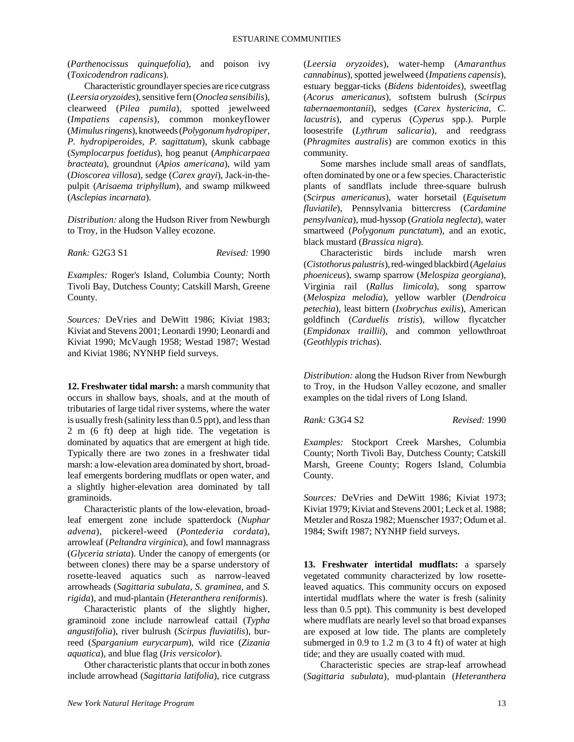(*Parthenocissus quinquefolia*), and poison ivy (*Toxicodendron radicans*).

Characteristic groundlayer species are rice cutgrass (*Leersia oryzoides*), sensitive fern (*Onoclea sensibilis*), clearweed (*Pilea pumila*), spotted jewelweed (*Impatiens capensis*), common monkeyflower (*Mimulus ringens*), knotweeds (*Polygonum hydropiper, P. hydropiperoides, P. sagittatum*), skunk cabbage (*Symplocarpus foetidus*), hog peanut (*Amphicarpaea bracteata*), groundnut (*Apios americana*), wild yam (*Dioscorea villosa*), sedge (*Carex grayi*), Jack-in-thepulpit (*Arisaema triphyllum*), and swamp milkweed (*Asclepias incarnata*).

*Distribution:* along the Hudson River from Newburgh to Troy, in the Hudson Valley ecozone.

*Rank:* G2G3 S1 *Revised:* 1990

*Examples:* Roger's Island, Columbia County; North Tivoli Bay, Dutchess County; Catskill Marsh, Greene County.

*Sources:* DeVries and DeWitt 1986; Kiviat 1983; Kiviat and Stevens 2001; Leonardi 1990; Leonardi and Kiviat 1990; McVaugh 1958; Westad 1987; Westad and Kiviat 1986; NYNHP field surveys.

**12. Freshwater tidal marsh:** a marsh community that occurs in shallow bays, shoals, and at the mouth of tributaries of large tidal river systems, where the water is usually fresh (salinity less than 0.5 ppt), and less than 2 m (6 ft) deep at high tide. The vegetation is dominated by aquatics that are emergent at high tide. Typically there are two zones in a freshwater tidal marsh: a low-elevation area dominated by short, broadleaf emergents bordering mudflats or open water, and a slightly higher-elevation area dominated by tall graminoids.

Characteristic plants of the low-elevation, broadleaf emergent zone include spatterdock (*Nuphar advena*), pickerel-weed (*Pontederia cordata*), arrowleaf (*Peltandra virginica*), and fowl mannagrass (*Glyceria striata*). Under the canopy of emergents (or between clones) there may be a sparse understory of rosette-leaved aquatics such as narrow-leaved arrowheads (*Sagittaria subulata, S. graminea,* and *S. rigida*), and mud-plantain (*Heteranthera reniformis*).

Characteristic plants of the slightly higher, graminoid zone include narrowleaf cattail (*Typha angustifolia*), river bulrush (*Scirpus fluviatilis*), burreed (*Sparganium eurycarpum*), wild rice (*Zizania aquatica*), and blue flag (*Iris versicolor*).

Other characteristic plants that occur in both zones include arrowhead (*Sagittaria latifolia*), rice cutgrass

(*Leersia oryzoides*), water-hemp (*Amaranthus cannabinus*), spotted jewelweed (*Impatiens capensis*), estuary beggar-ticks (*Bidens bidentoides*), sweetflag (*Acorus americanus*), softstem bulrush (*Scirpus tabernaemontanii*), sedges (*Carex hystericina, C. lacustris*), and cyperus (*Cyperus* spp.). Purple loosestrife (*Lythrum salicaria*), and reedgrass (*Phragmites australis*) are common exotics in this community.

Some marshes include small areas of sandflats, often dominated by one or a few species. Characteristic plants of sandflats include three-square bulrush (*Scirpus americanus*), water horsetail (*Equisetum fluviatile*), Pennsylvania bittercress (*Cardamine pensylvanica*), mud-hyssop (*Gratiola neglecta*), water smartweed (*Polygonum punctatum*), and an exotic, black mustard (*Brassica nigra*).

Characteristic birds include marsh wren (*Cistothorus palustris*), red-winged blackbird (*Agelaius phoeniceus*), swamp sparrow (*Melospiza georgiana*), Virginia rail (*Rallus limicola*), song sparrow (*Melospiza melodia*), yellow warbler (*Dendroica petechia*), least bittern (*Ixobrychus exilis*), American goldfinch (*Carduelis tristis*), willow flycatcher (*Empidonax traillii*), and common yellowthroat (*Geothlypis trichas*).

*Distribution:* along the Hudson River from Newburgh to Troy, in the Hudson Valley ecozone, and smaller examples on the tidal rivers of Long Island.

*Rank:* G3G4 S2 *Revised:* 1990

*Examples:* Stockport Creek Marshes, Columbia County; North Tivoli Bay, Dutchess County; Catskill Marsh, Greene County; Rogers Island, Columbia County.

*Sources:* DeVries and DeWitt 1986; Kiviat 1973; Kiviat 1979; Kiviat and Stevens 2001; Leck et al. 1988; Metzler and Rosza 1982; Muenscher 1937; Odum et al. 1984; Swift 1987; NYNHP field surveys.

**13. Freshwater intertidal mudflats:** a sparsely vegetated community characterized by low rosetteleaved aquatics. This community occurs on exposed intertidal mudflats where the water is fresh (salinity less than 0.5 ppt). This community is best developed where mudflats are nearly level so that broad expanses are exposed at low tide. The plants are completely submerged in  $0.9$  to  $1.2$  m  $(3$  to  $4$  ft) of water at high tide; and they are usually coated with mud.

Characteristic species are strap-leaf arrowhead (*Sagittaria subulata*), mud-plantain (*Heteranthera*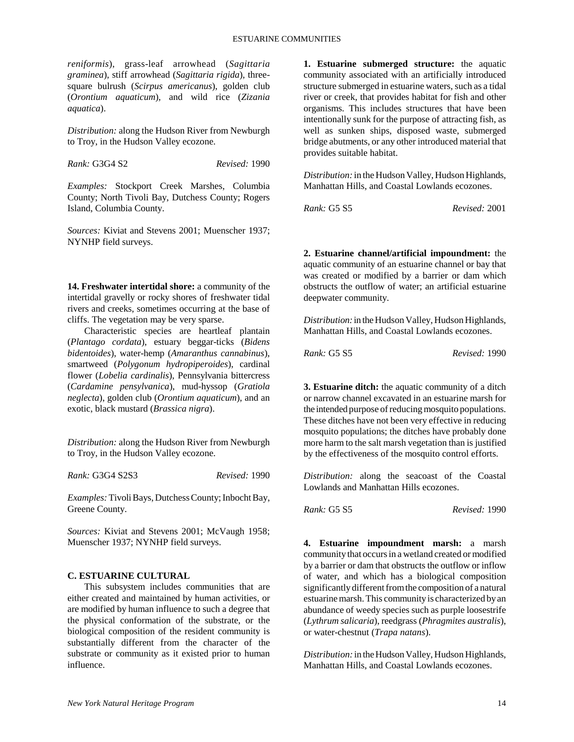*reniformis*), grass-leaf arrowhead (*Sagittaria graminea*), stiff arrowhead (*Sagittaria rigida*), threesquare bulrush (*Scirpus americanus*), golden club (*Orontium aquaticum*), and wild rice (*Zizania aquatica*).

*Distribution:* along the Hudson River from Newburgh to Troy, in the Hudson Valley ecozone.

*Rank:* G3G4 S2 *Revised:* 1990

*Examples:* Stockport Creek Marshes, Columbia County; North Tivoli Bay, Dutchess County; Rogers Island, Columbia County.

*Sources:* Kiviat and Stevens 2001; Muenscher 1937; NYNHP field surveys.

**14. Freshwater intertidal shore:** a community of the intertidal gravelly or rocky shores of freshwater tidal rivers and creeks, sometimes occurring at the base of cliffs. The vegetation may be very sparse.

Characteristic species are heartleaf plantain (*Plantago cordata*), estuary beggar-ticks (*Bidens bidentoides*), water-hemp (*Amaranthus cannabinus*), smartweed (*Polygonum hydropiperoides*), cardinal flower (*Lobelia cardinalis*), Pennsylvania bittercress (*Cardamine pensylvanica*), mud-hyssop (*Gratiola neglecta*), golden club (*Orontium aquaticum*), and an exotic, black mustard (*Brassica nigra*).

*Distribution:* along the Hudson River from Newburgh to Troy, in the Hudson Valley ecozone.

*Rank:* G3G4 S2S3 *Revised:* 1990

*Examples:* Tivoli Bays, Dutchess County; Inbocht Bay, Greene County.

Sources: Kiviat and Stevens 2001; McVaugh 1958; Muenscher 1937; NYNHP field surveys.

## **C. ESTUARINE CULTURAL**

This subsystem includes communities that are either created and maintained by human activities, or are modified by human influence to such a degree that the physical conformation of the substrate, or the biological composition of the resident community is substantially different from the character of the substrate or community as it existed prior to human influence.

**1. Estuarine submerged structure:** the aquatic community associated with an artificially introduced structure submerged in estuarine waters, such as a tidal river or creek, that provides habitat for fish and other organisms. This includes structures that have been intentionally sunk for the purpose of attracting fish, as well as sunken ships, disposed waste, submerged bridge abutments, or any other introduced material that provides suitable habitat.

*Distribution:* in the Hudson Valley, Hudson Highlands, Manhattan Hills, and Coastal Lowlands ecozones.

*Rank:* G5 S5 *Revised:* 2001

**2. Estuarine channel/artificial impoundment:** the aquatic community of an estuarine channel or bay that was created or modified by a barrier or dam which obstructs the outflow of water; an artificial estuarine deepwater community.

*Distribution:* in the Hudson Valley, Hudson Highlands, Manhattan Hills, and Coastal Lowlands ecozones.

*Rank:* G5 S5 *Revised:* 1990

**3. Estuarine ditch:** the aquatic community of a ditch or narrow channel excavated in an estuarine marsh for the intended purpose of reducing mosquito populations. These ditches have not been very effective in reducing mosquito populations; the ditches have probably done more harm to the salt marsh vegetation than is justified by the effectiveness of the mosquito control efforts.

*Distribution:* along the seacoast of the Coastal Lowlands and Manhattan Hills ecozones.

*Rank:* G5 S5 *Revised:* 1990

**4. Estuarine impoundment marsh:** a marsh community that occurs in a wetland created or modified by a barrier or dam that obstructs the outflow or inflow of water, and which has a biological composition significantly different from the composition of a natural estuarine marsh. This community is characterized by an abundance of weedy species such as purple loosestrife (*Lythrum salicaria*), reedgrass (*Phragmites australis*), or water-chestnut (*Trapa natans*).

*Distribution:* in the Hudson Valley, Hudson Highlands, Manhattan Hills, and Coastal Lowlands ecozones.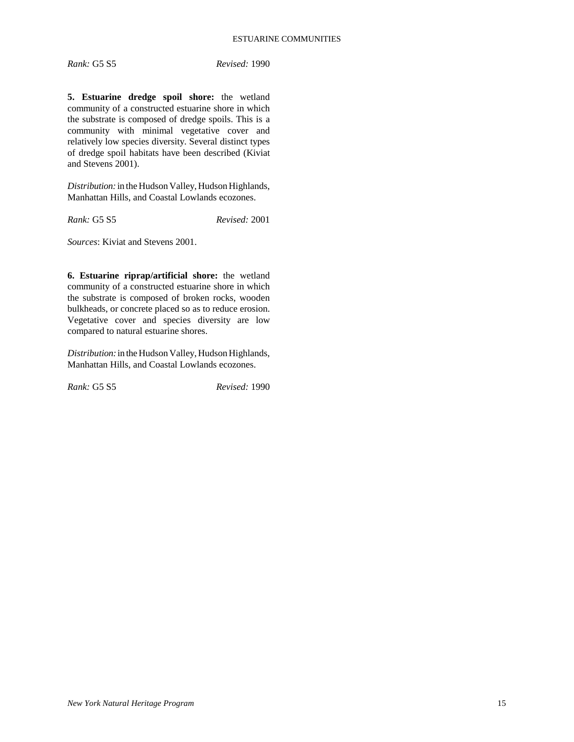**5. Estuarine dredge spoil shore:** the wetland community of a constructed estuarine shore in which the substrate is composed of dredge spoils. This is a community with minimal vegetative cover and relatively low species diversity. Several distinct types of dredge spoil habitats have been described (Kiviat and Stevens 2001).

*Distribution:* in the Hudson Valley, Hudson Highlands, Manhattan Hills, and Coastal Lowlands ecozones.

*Rank:* G5 S5 *Revised:* 2001

*Sources*: Kiviat and Stevens 2001.

**6. Estuarine riprap/artificial shore:** the wetland community of a constructed estuarine shore in which the substrate is composed of broken rocks, wooden bulkheads, or concrete placed so as to reduce erosion. Vegetative cover and species diversity are low compared to natural estuarine shores.

*Distribution:* in the Hudson Valley, Hudson Highlands, Manhattan Hills, and Coastal Lowlands ecozones.

*Rank:* G5 S5 *Revised:* 1990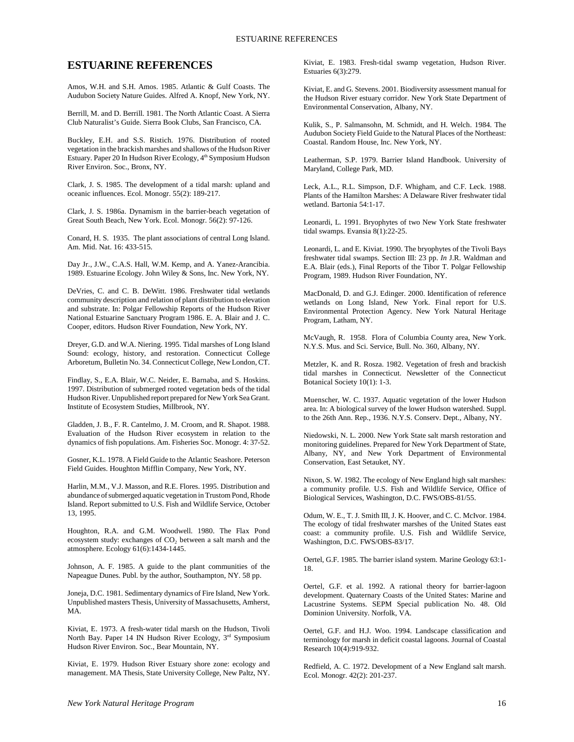# **ESTUARINE REFERENCES**

Amos, W.H. and S.H. Amos. 1985. Atlantic & Gulf Coasts. The Audubon Society Nature Guides. Alfred A. Knopf, New York, NY.

Berrill, M. and D. Berrill. 1981. The North Atlantic Coast. A Sierra Club Naturalist's Guide. Sierra Book Clubs, San Francisco, CA.

Buckley, E.H. and S.S. Ristich. 1976. Distribution of rooted vegetation in the brackish marshes and shallows of the Hudson River Estuary. Paper 20 In Hudson River Ecology, 4<sup>th</sup> Symposium Hudson River Environ. Soc., Bronx, NY.

Clark, J. S. 1985. The development of a tidal marsh: upland and oceanic influences. Ecol. Monogr. 55(2): 189-217.

Clark, J. S. 1986a. Dynamism in the barrier-beach vegetation of Great South Beach, New York. Ecol. Monogr. 56(2): 97-126.

Conard, H. S. 1935. The plant associations of central Long Island. Am. Mid. Nat. 16: 433-515.

Day Jr., J.W., C.A.S. Hall, W.M. Kemp, and A. Yanez-Arancibia. 1989. Estuarine Ecology. John Wiley & Sons, Inc. New York, NY.

DeVries, C. and C. B. DeWitt. 1986. Freshwater tidal wetlands community description and relation of plant distribution to elevation and substrate. In: Polgar Fellowship Reports of the Hudson River National Estuarine Sanctuary Program 1986. E. A. Blair and J. C. Cooper, editors. Hudson River Foundation, New York, NY.

Dreyer, G.D. and W.A. Niering. 1995. Tidal marshes of Long Island Sound: ecology, history, and restoration. Connecticut College Arboretum, Bulletin No. 34. Connecticut College, New London, CT.

Findlay, S., E.A. Blair, W.C. Neider, E. Barnaba, and S. Hoskins. 1997. Distribution of submerged rooted vegetation beds of the tidal Hudson River. Unpublished report prepared for New York Sea Grant. Institute of Ecosystem Studies, Millbrook, NY.

Gladden, J. B., F. R. Cantelmo, J. M. Croom, and R. Shapot. 1988. Evaluation of the Hudson River ecosystem in relation to the dynamics of fish populations. Am. Fisheries Soc. Monogr. 4: 37-52.

Gosner, K.L. 1978. A Field Guide to the Atlantic Seashore. Peterson Field Guides. Houghton Mifflin Company, New York, NY.

Harlin, M.M., V.J. Masson, and R.E. Flores. 1995. Distribution and abundance of submerged aquatic vegetation in Trustom Pond, Rhode Island. Report submitted to U.S. Fish and Wildlife Service, October 13, 1995.

Houghton, R.A. and G.M. Woodwell. 1980. The Flax Pond ecosystem study: exchanges of CO<sub>2</sub> between a salt marsh and the atmosphere. Ecology 61(6):1434-1445.

Johnson, A. F. 1985. A guide to the plant communities of the Napeague Dunes. Publ. by the author, Southampton, NY. 58 pp.

Joneja, D.C. 1981. Sedimentary dynamics of Fire Island, New York. Unpublished masters Thesis, University of Massachusetts, Amherst, MA.

Kiviat, E. 1973. A fresh-water tidal marsh on the Hudson, Tivoli North Bay. Paper 14 IN Hudson River Ecology, 3<sup>rd</sup> Symposium Hudson River Environ. Soc., Bear Mountain, NY.

Kiviat, E. 1979. Hudson River Estuary shore zone: ecology and management. MA Thesis, State University College, New Paltz, NY.

Kiviat, E. 1983. Fresh-tidal swamp vegetation, Hudson River. Estuaries 6(3):279.

Kiviat, E. and G. Stevens. 2001. Biodiversity assessment manual for the Hudson River estuary corridor. New York State Department of Environmental Conservation, Albany, NY.

Kulik, S., P. Salmansohn, M. Schmidt, and H. Welch. 1984. The Audubon Society Field Guide to the Natural Places of the Northeast: Coastal. Random House, Inc. New York, NY.

Leatherman, S.P. 1979. Barrier Island Handbook. University of Maryland, College Park, MD.

Leck, A.L., R.L. Simpson, D.F. Whigham, and C.F. Leck. 1988. Plants of the Hamilton Marshes: A Delaware River freshwater tidal wetland. Bartonia 54:1-17.

Leonardi, L. 1991. Bryophytes of two New York State freshwater tidal swamps. Evansia 8(1):22-25.

Leonardi, L. and E. Kiviat. 1990. The bryophytes of the Tivoli Bays freshwater tidal swamps. Section III: 23 pp. *In* J.R. Waldman and E.A. Blair (eds.), Final Reports of the Tibor T. Polgar Fellowship Program, 1989. Hudson River Foundation, NY.

MacDonald, D. and G.J. Edinger. 2000. Identification of reference wetlands on Long Island, New York. Final report for U.S. Environmental Protection Agency. New York Natural Heritage Program, Latham, NY.

McVaugh, R. 1958. Flora of Columbia County area, New York. N.Y.S. Mus. and Sci. Service, Bull. No. 360, Albany, NY.

Metzler, K. and R. Rosza. 1982. Vegetation of fresh and brackish tidal marshes in Connecticut. Newsletter of the Connecticut Botanical Society 10(1): 1-3.

Muenscher, W. C. 1937. Aquatic vegetation of the lower Hudson area. In: A biological survey of the lower Hudson watershed. Suppl. to the 26th Ann. Rep., 1936. N.Y.S. Conserv. Dept., Albany, NY.

Niedowski, N. L. 2000. New York State salt marsh restoration and monitoring guidelines. Prepared for New York Department of State, Albany, NY, and New York Department of Environmental Conservation, East Setauket, NY.

Nixon, S. W. 1982. The ecology of New England high salt marshes: a community profile. U.S. Fish and Wildlife Service, Office of Biological Services, Washington, D.C. FWS/OBS-81/55.

Odum, W. E., T. J. Smith III, J. K. Hoover, and C. C. McIvor. 1984. The ecology of tidal freshwater marshes of the United States east coast: a community profile. U.S. Fish and Wildlife Service, Washington, D.C. FWS/OBS-83/17.

Oertel, G.F. 1985. The barrier island system. Marine Geology 63:1- 18.

Oertel, G.F. et al. 1992. A rational theory for barrier-lagoon development. Quaternary Coasts of the United States: Marine and Lacustrine Systems. SEPM Special publication No. 48. Old Dominion University. Norfolk, VA.

Oertel, G.F. and H.J. Woo. 1994. Landscape classification and terminology for marsh in deficit coastal lagoons. Journal of Coastal Research 10(4):919-932.

Redfield, A. C. 1972. Development of a New England salt marsh. Ecol. Monogr. 42(2): 201-237.